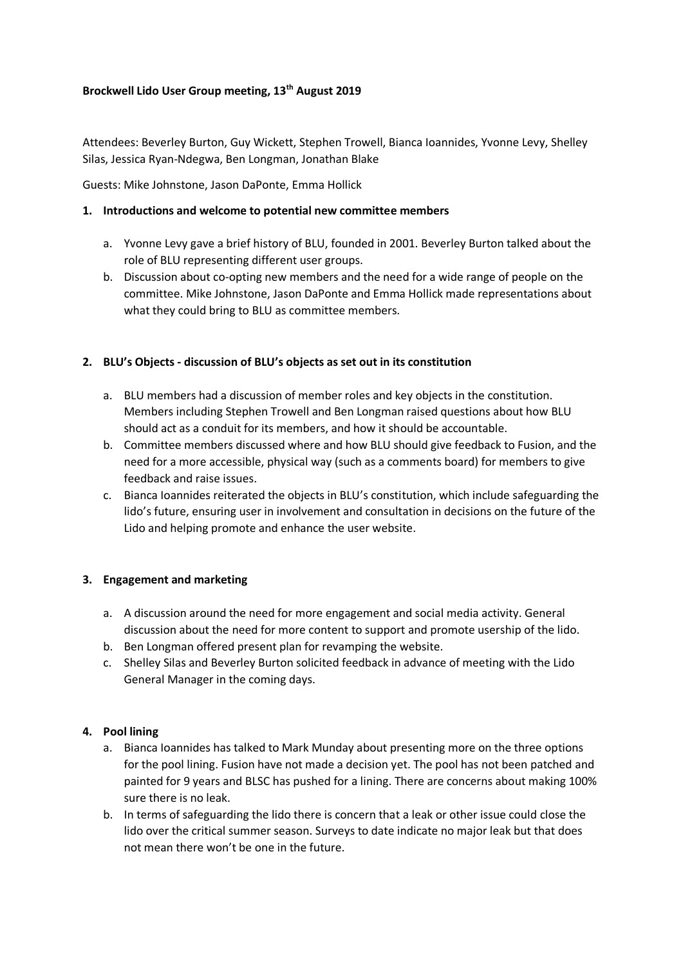### **Brockwell Lido User Group meeting, 13th August 2019**

Attendees: Beverley Burton, Guy Wickett, Stephen Trowell, Bianca Ioannides, Yvonne Levy, Shelley Silas, Jessica Ryan-Ndegwa, Ben Longman, Jonathan Blake

Guests: Mike Johnstone, Jason DaPonte, Emma Hollick

### **1. Introductions and welcome to potential new committee members**

- a. Yvonne Levy gave a brief history of BLU, founded in 2001. Beverley Burton talked about the role of BLU representing different user groups.
- b. Discussion about co-opting new members and the need for a wide range of people on the committee. Mike Johnstone, Jason DaPonte and Emma Hollick made representations about what they could bring to BLU as committee members.

### **2. BLU's Objects - discussion of BLU's objects as set out in its constitution**

- a. BLU members had a discussion of member roles and key objects in the constitution. Members including Stephen Trowell and Ben Longman raised questions about how BLU should act as a conduit for its members, and how it should be accountable.
- b. Committee members discussed where and how BLU should give feedback to Fusion, and the need for a more accessible, physical way (such as a comments board) for members to give feedback and raise issues.
- c. Bianca Ioannides reiterated the objects in BLU's constitution, which include safeguarding the lido's future, ensuring user in involvement and consultation in decisions on the future of the Lido and helping promote and enhance the user website.

# **3. Engagement and marketing**

- a. A discussion around the need for more engagement and social media activity. General discussion about the need for more content to support and promote usership of the lido.
- b. Ben Longman offered present plan for revamping the website.
- c. Shelley Silas and Beverley Burton solicited feedback in advance of meeting with the Lido General Manager in the coming days.

# **4. Pool lining**

- a. Bianca Ioannides has talked to Mark Munday about presenting more on the three options for the pool lining. Fusion have not made a decision yet. The pool has not been patched and painted for 9 years and BLSC has pushed for a lining. There are concerns about making 100% sure there is no leak.
- b. In terms of safeguarding the lido there is concern that a leak or other issue could close the lido over the critical summer season. Surveys to date indicate no major leak but that does not mean there won't be one in the future.